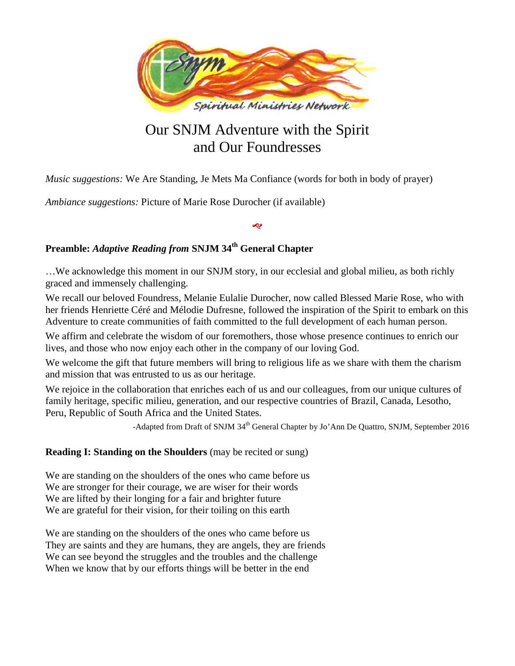

# Our SNJM Adventure with the Spirit and Our Foundresses

*Music suggestions:* We Are Standing, Je Mets Ma Confiance (words for both in body of prayer)

*Ambiance suggestions:* Picture of Marie Rose Durocher (if available)

## **Preamble:** *Adaptive Reading from* **SNJM 34th General Chapter**

…We acknowledge this moment in our SNJM story, in our ecclesial and global milieu, as both richly graced and immensely challenging.

D

We recall our beloved Foundress, Melanie Eulalie Durocher, now called Blessed Marie Rose, who with her friends Henriette Céré and Mélodie Dufresne, followed the inspiration of the Spirit to embark on this Adventure to create communities of faith committed to the full development of each human person.

We affirm and celebrate the wisdom of our foremothers, those whose presence continues to enrich our lives, and those who now enjoy each other in the company of our loving God.

We welcome the gift that future members will bring to religious life as we share with them the charism and mission that was entrusted to us as our heritage.

We rejoice in the collaboration that enriches each of us and our colleagues, from our unique cultures of family heritage, specific milieu, generation, and our respective countries of Brazil, Canada, Lesotho, Peru, Republic of South Africa and the United States.

-Adapted from Draft of SNJM 34<sup>th</sup> General Chapter by Jo'Ann De Quattro, SNJM, September 2016

### **Reading I: Standing on the Shoulders** (may be recited or sung)

We are standing on the shoulders of the ones who came before us We are stronger for their courage, we are wiser for their words We are lifted by their longing for a fair and brighter future We are grateful for their vision, for their toiling on this earth

We are standing on the shoulders of the ones who came before us They are saints and they are humans, they are angels, they are friends We can see beyond the struggles and the troubles and the challenge When we know that by our efforts things will be better in the end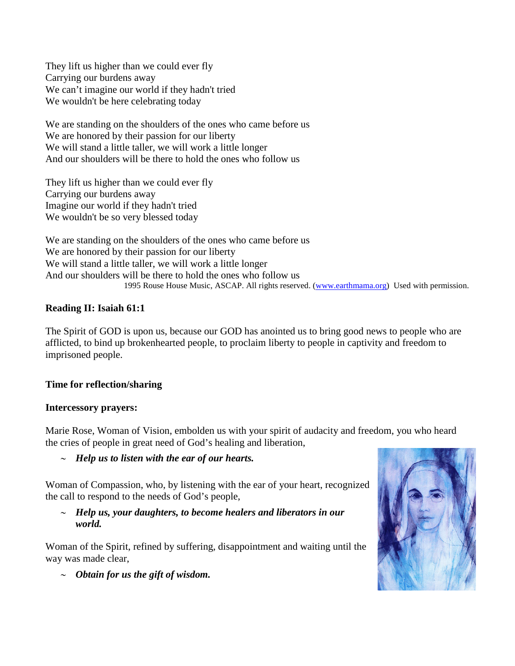They lift us higher than we could ever fly Carrying our burdens away We can't imagine our world if they hadn't tried We wouldn't be here celebrating today

We are standing on the shoulders of the ones who came before us We are honored by their passion for our liberty We will stand a little taller, we will work a little longer And our shoulders will be there to hold the ones who follow us

They lift us higher than we could ever fly Carrying our burdens away Imagine our world if they hadn't tried We wouldn't be so very blessed today

We are standing on the shoulders of the ones who came before us We are honored by their passion for our liberty We will stand a little taller, we will work a little longer And our shoulders will be there to hold the ones who follow us 1995 Rouse House Music, ASCAP. All rights reserved. [\(www.earthmama.org\)](http://www.earthmama.org/) Used with permission.

## **Reading II: Isaiah 61:1**

The Spirit of GOD is upon us, because our GOD has anointed us to bring good news to people who are afflicted, to bind up brokenhearted people, to proclaim liberty to people in captivity and freedom to imprisoned people.

## **Time for reflection/sharing**

### **Intercessory prayers:**

Marie Rose, Woman of Vision, embolden us with your spirit of audacity and freedom, you who heard the cries of people in great need of God's healing and liberation,

∼ *Help us to listen with the ear of our hearts.*

Woman of Compassion, who, by listening with the ear of your heart, recognized the call to respond to the needs of God's people,

∼ *Help us, your daughters, to become healers and liberators in our world.*

Woman of the Spirit, refined by suffering, disappointment and waiting until the way was made clear,



∼ *Obtain for us the gift of wisdom.*